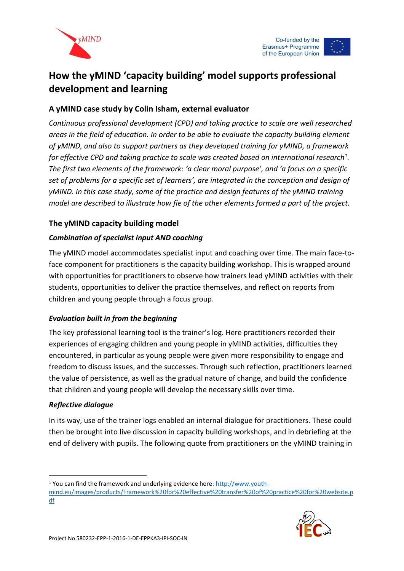



# **How the yMIND 'capacity building' model supports professional development and learning**

## **A yMIND case study by Colin Isham, external evaluator**

*Continuous professional development (CPD) and taking practice to scale are well researched areas in the field of education. In order to be able to evaluate the capacity building element of yMIND, and also to support partners as they developed training for yMIND, a framework for effective CPD and taking practice to scale was created based on international research<sup>1</sup> . The first two elements of the framework: 'a clear moral purpose', and 'a focus on a specific set of problems for a specific set of learners', are integrated in the conception and design of yMIND. In this case study, some of the practice and design features of the yMIND training model are described to illustrate how fie of the other elements formed a part of the project.* 

## **The yMIND capacity building model**

### *Combination of specialist input AND coaching*

The yMIND model accommodates specialist input and coaching over time. The main face-toface component for practitioners is the capacity building workshop. This is wrapped around with opportunities for practitioners to observe how trainers lead yMIND activities with their students, opportunities to deliver the practice themselves, and reflect on reports from children and young people through a focus group.

#### *Evaluation built in from the beginning*

The key professional learning tool is the trainer's log. Here practitioners recorded their experiences of engaging children and young people in yMIND activities, difficulties they encountered, in particular as young people were given more responsibility to engage and freedom to discuss issues, and the successes. Through such reflection, practitioners learned the value of persistence, as well as the gradual nature of change, and build the confidence that children and young people will develop the necessary skills over time.

#### *Reflective dialogue*

-

In its way, use of the trainer logs enabled an internal dialogue for practitioners. These could then be brought into live discussion in capacity building workshops, and in debriefing at the end of delivery with pupils. The following quote from practitioners on the yMIND training in

<sup>&</sup>lt;sup>1</sup> You can find the framework and underlying evidence here: [http://www.youth](http://www.youth-mind.eu/images/products/Framework%20for%20effective%20transfer%20of%20practice%20for%20website.pdf)[mind.eu/images/products/Framework%20for%20effective%20transfer%20of%20practice%20for%20website.p](http://www.youth-mind.eu/images/products/Framework%20for%20effective%20transfer%20of%20practice%20for%20website.pdf) [df](http://www.youth-mind.eu/images/products/Framework%20for%20effective%20transfer%20of%20practice%20for%20website.pdf)